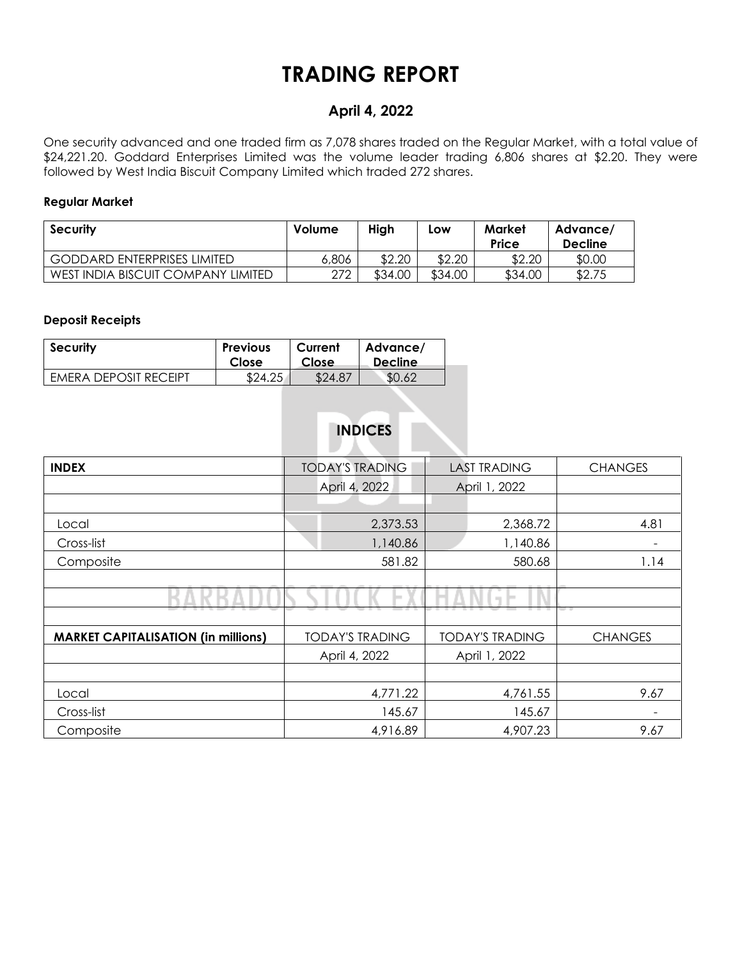# **TRADING REPORT**

### **April 4, 2022**

One security advanced and one traded firm as 7,078 shares traded on the Regular Market, with a total value of \$24,221.20. Goddard Enterprises Limited was the volume leader trading 6,806 shares at \$2.20. They were followed by West India Biscuit Company Limited which traded 272 shares.

#### **Regular Market**

| <b>Security</b>                    | Volume | High    | LOW     | Market<br>Price | Advance/<br><b>Decline</b> |
|------------------------------------|--------|---------|---------|-----------------|----------------------------|
| <b>GODDARD ENTERPRISES LIMITED</b> | 6,806  | \$2.20  | \$2.20  | \$2.20          | \$0.00                     |
| WEST INDIA BISCUIT COMPANY LIMITED | 272    | \$34.00 | \$34.00 | \$34.00         | \$2.75                     |

#### **Deposit Receipts**

| <b>Security</b>       | <b>Previous</b> | Current | Advance/       |
|-----------------------|-----------------|---------|----------------|
|                       | Close           | Close   | <b>Decline</b> |
| EMERA DEPOSIT RECEIPT | \$24.25         | \$24.87 | \$0.62         |

## **INDICES**

| <b>INDEX</b>                               | <b>TODAY'S TRADING</b> | <b>LAST TRADING</b>    | <b>CHANGES</b> |  |  |
|--------------------------------------------|------------------------|------------------------|----------------|--|--|
|                                            | April 4, 2022          | April 1, 2022          |                |  |  |
|                                            |                        |                        |                |  |  |
| Local                                      | 2,373.53               | 2,368.72               | 4.81           |  |  |
| Cross-list                                 | 1,140.86               | 1,140.86               |                |  |  |
| Composite                                  | 581.82                 | 580.68                 | 1.14           |  |  |
|                                            |                        |                        |                |  |  |
|                                            |                        | $\sim$                 |                |  |  |
|                                            |                        |                        |                |  |  |
| <b>MARKET CAPITALISATION (in millions)</b> | <b>TODAY'S TRADING</b> | <b>TODAY'S TRADING</b> | <b>CHANGES</b> |  |  |
|                                            | April 4, 2022          | April 1, 2022          |                |  |  |
|                                            |                        |                        |                |  |  |
| Local                                      | 4,771.22               | 4,761.55               | 9.67           |  |  |
| Cross-list                                 | 145.67                 | 145.67                 |                |  |  |
| Composite                                  | 4,916.89               | 4,907.23               | 9.67           |  |  |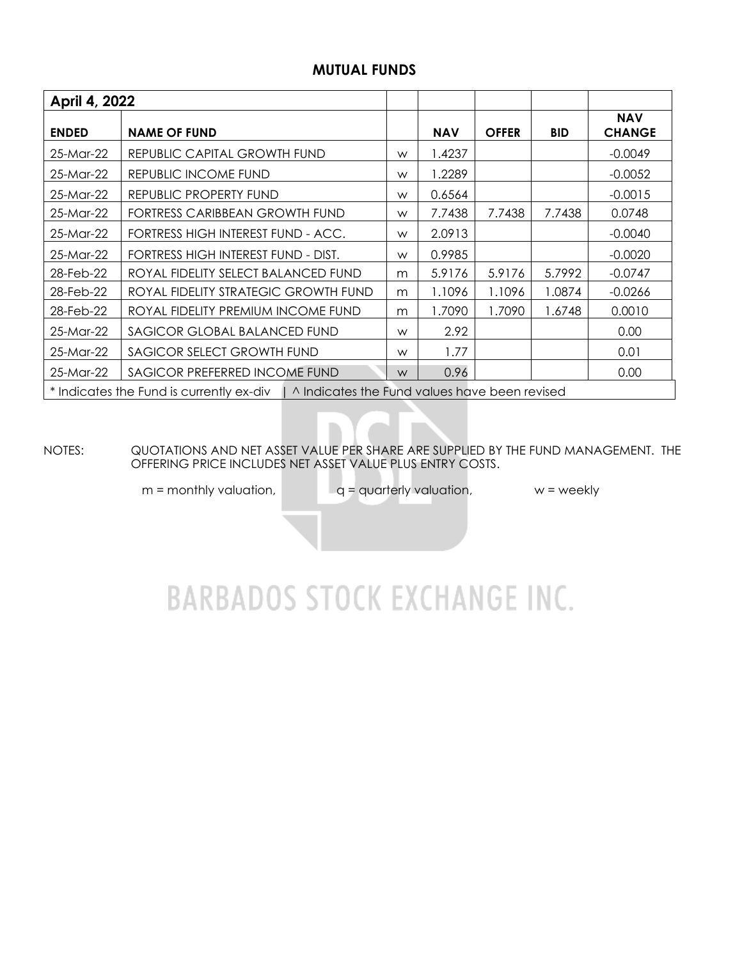### **MUTUAL FUNDS**

| April 4, 2022                                                                            |                                      |   |            |              |            |                             |  |  |  |
|------------------------------------------------------------------------------------------|--------------------------------------|---|------------|--------------|------------|-----------------------------|--|--|--|
| <b>ENDED</b>                                                                             | <b>NAME OF FUND</b>                  |   | <b>NAV</b> | <b>OFFER</b> | <b>BID</b> | <b>NAV</b><br><b>CHANGE</b> |  |  |  |
| 25-Mar-22                                                                                | REPUBLIC CAPITAL GROWTH FUND         | W | 1.4237     |              |            | $-0.0049$                   |  |  |  |
| 25-Mar-22                                                                                | REPUBLIC INCOME FUND                 | W | 1.2289     |              |            | $-0.0052$                   |  |  |  |
| 25-Mar-22                                                                                | REPUBLIC PROPERTY FUND               | W | 0.6564     |              |            | $-0.0015$                   |  |  |  |
| 25-Mar-22                                                                                | FORTRESS CARIBBEAN GROWTH FUND       | W | 7.7438     | 7.7438       | 7.7438     | 0.0748                      |  |  |  |
| 25-Mar-22                                                                                | FORTRESS HIGH INTEREST FUND - ACC.   | W | 2.0913     |              |            | $-0.0040$                   |  |  |  |
| 25-Mar-22                                                                                | FORTRESS HIGH INTEREST FUND - DIST.  | W | 0.9985     |              |            | $-0.0020$                   |  |  |  |
| 28-Feb-22                                                                                | ROYAL FIDELITY SELECT BALANCED FUND  | m | 5.9176     | 5.9176       | 5.7992     | $-0.0747$                   |  |  |  |
| 28-Feb-22                                                                                | ROYAL FIDELITY STRATEGIC GROWTH FUND | m | 1.1096     | 1.1096       | 1.0874     | $-0.0266$                   |  |  |  |
| 28-Feb-22                                                                                | ROYAL FIDELITY PREMIUM INCOME FUND   | m | 1.7090     | 1.7090       | 1.6748     | 0.0010                      |  |  |  |
| 25-Mar-22                                                                                | SAGICOR GLOBAL BALANCED FUND         | W | 2.92       |              |            | 0.00                        |  |  |  |
| 25-Mar-22                                                                                | SAGICOR SELECT GROWTH FUND           |   | 1.77       |              |            | 0.01                        |  |  |  |
| 25-Mar-22                                                                                | SAGICOR PREFERRED INCOME FUND        |   | 0.96       |              |            | 0.00                        |  |  |  |
| * Indicates the Fund is currently ex-div   ^ Indicates the Fund values have been revised |                                      |   |            |              |            |                             |  |  |  |

NOTES: QUOTATIONS AND NET ASSET VALUE PER SHARE ARE SUPPLIED BY THE FUND MANAGEMENT. THE OFFERING PRICE INCLUDES NET ASSET VALUE PLUS ENTRY COSTS.

 $m =$  monthly valuation,  $q =$  quarterly valuation,  $w =$  weekly

# **BARBADOS STOCK EXCHANGE INC.**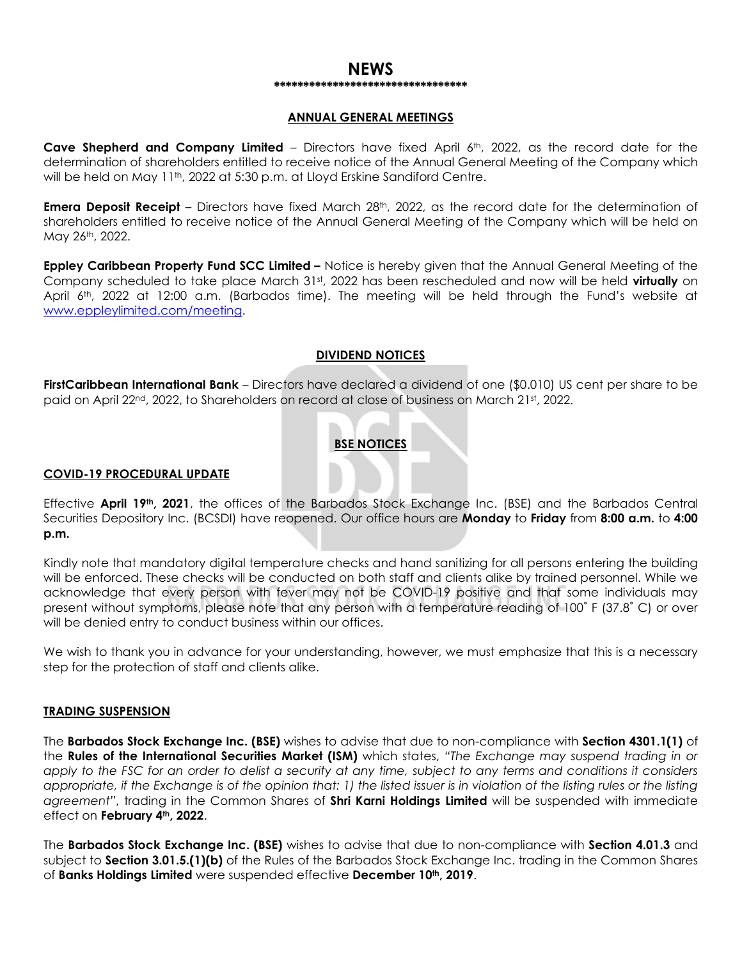#### **NEWS \*\*\*\*\*\*\*\*\*\*\*\*\*\*\*\*\*\*\*\*\*\*\*\*\*\*\*\*\*\*\*\*\***

#### **ANNUAL GENERAL MEETINGS**

**Cave Shepherd and Company Limited** – Directors have fixed April 6th, 2022, as the record date for the determination of shareholders entitled to receive notice of the Annual General Meeting of the Company which will be held on May 11<sup>th</sup>, 2022 at 5:30 p.m. at Lloyd Erskine Sandiford Centre.

**Emera Deposit Receipt** – Directors have fixed March 28<sup>th</sup>, 2022, as the record date for the determination of shareholders entitled to receive notice of the Annual General Meeting of the Company which will be held on May 26th, 2022.

**Eppley Caribbean Property Fund SCC Limited –** Notice is hereby given that the Annual General Meeting of the Company scheduled to take place March 31st, 2022 has been rescheduled and now will be held **virtually** on April 6th, 2022 at 12:00 a.m. (Barbados time). The meeting will be held through the Fund's website at [www.eppleylimited.com/meeting.](http://www.eppleylimited.com/meeting)

#### **DIVIDEND NOTICES**

**FirstCaribbean International Bank** – Directors have declared a dividend of one (\$0.010) US cent per share to be paid on April 22<sup>nd</sup>, 2022, to Shareholders on record at close of business on March 21st, 2022.

### **BSE NOTICES**

#### **COVID-19 PROCEDURAL UPDATE**

Effective **April 19th, 2021**, the offices of the Barbados Stock Exchange Inc. (BSE) and the Barbados Central Securities Depository Inc. (BCSDI) have reopened. Our office hours are **Monday** to **Friday** from **8:00 a.m.** to **4:00 p.m.**

Kindly note that mandatory digital temperature checks and hand sanitizing for all persons entering the building will be enforced. These checks will be conducted on both staff and clients alike by trained personnel. While we acknowledge that every person with fever may not be COVID-19 positive and that some individuals may present without symptoms, please note that any person with a temperature reading of 100˚ F (37.8˚ C) or over will be denied entry to conduct business within our offices.

We wish to thank you in advance for your understanding, however, we must emphasize that this is a necessary step for the protection of staff and clients alike.

#### **TRADING SUSPENSION**

The **Barbados Stock Exchange Inc. (BSE)** wishes to advise that due to non-compliance with **Section 4301.1(1)** of the **Rules of the International Securities Market (ISM)** which states, *"The Exchange may suspend trading in or apply to the FSC for an order to delist a security at any time, subject to any terms and conditions it considers appropriate, if the Exchange is of the opinion that: 1) the listed issuer is in violation of the listing rules or the listing agreement"*, trading in the Common Shares of **Shri Karni Holdings Limited** will be suspended with immediate effect on **February 4th, 2022**.

The **Barbados Stock Exchange Inc. (BSE)** wishes to advise that due to non-compliance with **Section 4.01.3** and subject to **Section 3.01.5.(1)(b)** of the Rules of the Barbados Stock Exchange Inc. trading in the Common Shares of **Banks Holdings Limited** were suspended effective **December 10th, 2019**.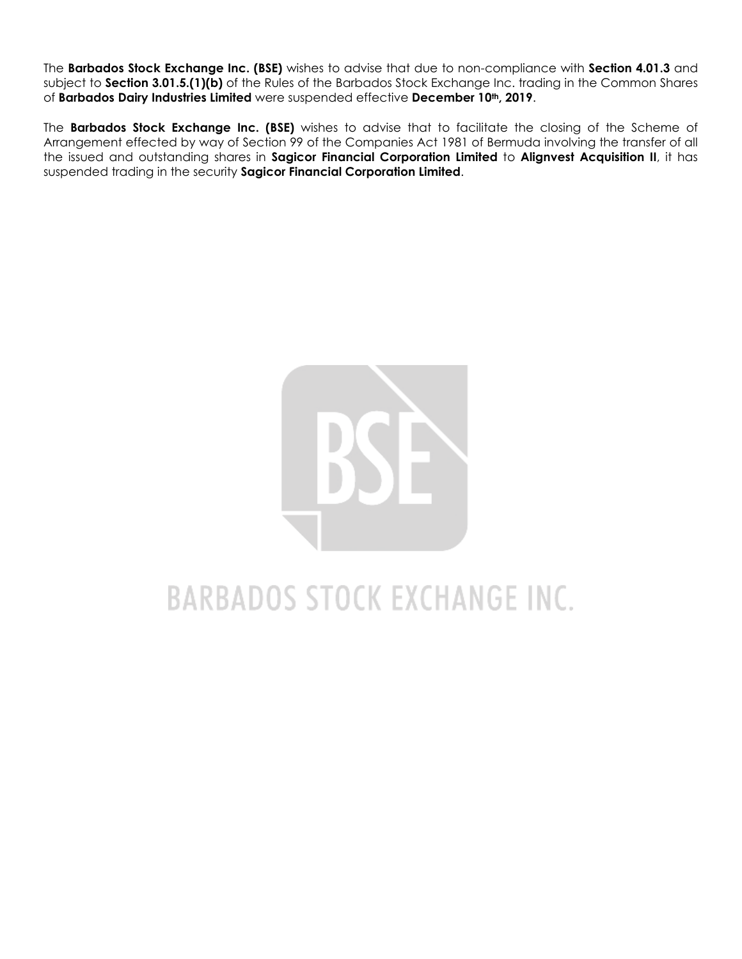The **Barbados Stock Exchange Inc. (BSE)** wishes to advise that due to non-compliance with **Section 4.01.3** and subject to **Section 3.01.5.(1)(b)** of the Rules of the Barbados Stock Exchange Inc. trading in the Common Shares of **Barbados Dairy Industries Limited** were suspended effective **December 10th, 2019**.

The **Barbados Stock Exchange Inc. (BSE)** wishes to advise that to facilitate the closing of the Scheme of Arrangement effected by way of Section 99 of the Companies Act 1981 of Bermuda involving the transfer of all the issued and outstanding shares in **Sagicor Financial Corporation Limited** to **Alignvest Acquisition II**, it has suspended trading in the security **Sagicor Financial Corporation Limited**.



# **BARBADOS STOCK EXCHANGE INC.**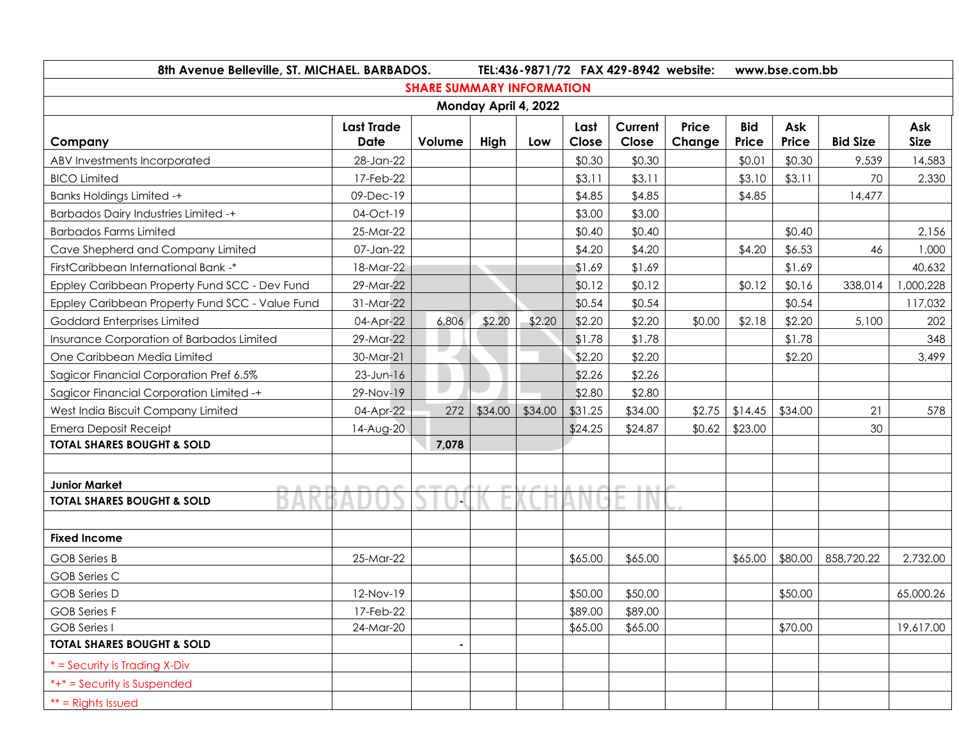| 8th Avenue Belleville, ST. MICHAEL. BARBADOS.   | TEL:436-9871/72 FAX 429-8942 website: |                |         |         |               |                  | www.bse.com.bb  |                     |              |                 |                    |
|-------------------------------------------------|---------------------------------------|----------------|---------|---------|---------------|------------------|-----------------|---------------------|--------------|-----------------|--------------------|
| <b>SHARE SUMMARY INFORMATION</b>                |                                       |                |         |         |               |                  |                 |                     |              |                 |                    |
| Monday April 4, 2022                            |                                       |                |         |         |               |                  |                 |                     |              |                 |                    |
| Company                                         | <b>Last Trade</b><br><b>Date</b>      | Volume         | High    | Low     | Last<br>Close | Current<br>Close | Price<br>Change | <b>Bid</b><br>Price | Ask<br>Price | <b>Bid Size</b> | Ask<br><b>Size</b> |
| ABV Investments Incorporated                    | 28-Jan-22                             |                |         |         | \$0.30        | \$0.30           |                 | \$0.01              | \$0.30       | 9,539           | 14,583             |
| <b>BICO Limited</b>                             | 17-Feb-22                             |                |         |         | \$3.11        | \$3.11           |                 | \$3.10              | \$3.11       | 70              | 2,330              |
| <b>Banks Holdings Limited -+</b>                | 09-Dec-19                             |                |         |         | \$4.85        | \$4.85           |                 | \$4.85              |              | 14,477          |                    |
| <b>Barbados Dairy Industries Limited -+</b>     | 04-Oct-19                             |                |         |         | \$3.00        | \$3.00           |                 |                     |              |                 |                    |
| <b>Barbados Farms Limited</b>                   | 25-Mar-22                             |                |         |         | \$0.40        | \$0.40           |                 |                     | \$0.40       |                 | 2,156              |
| Cave Shepherd and Company Limited               | 07-Jan-22                             |                |         |         | \$4.20        | \$4.20           |                 | \$4.20              | \$6.53       | 46              | 1,000              |
| FirstCaribbean International Bank -*            | 18-Mar-22                             |                |         |         | \$1.69        | \$1.69           |                 |                     | \$1.69       |                 | 40,632             |
| Eppley Caribbean Property Fund SCC - Dev Fund   | 29-Mar-22                             |                |         |         | \$0.12        | \$0.12           |                 | \$0.12              | \$0.16       | 338,014         | 000,228            |
| Eppley Caribbean Property Fund SCC - Value Fund | 31-Mar-22                             |                |         |         | \$0.54        | \$0.54           |                 |                     | \$0.54       |                 | 117,032            |
| Goddard Enterprises Limited                     | 04-Apr-22                             | 6,806          | \$2.20  | \$2.20  | \$2.20        | \$2.20           | \$0.00          | \$2.18              | \$2.20       | 5,100           | 202                |
| Insurance Corporation of Barbados Limited       | 29-Mar-22                             |                |         |         | \$1.78        | \$1.78           |                 |                     | \$1.78       |                 | 348                |
| One Caribbean Media Limited                     | 30-Mar-21                             |                |         |         | \$2.20        | \$2.20           |                 |                     | \$2.20       |                 | 3,499              |
| Sagicor Financial Corporation Pref 6.5%         | $23$ -Jun-16                          |                |         |         | \$2.26        | \$2.26           |                 |                     |              |                 |                    |
| Sagicor Financial Corporation Limited -+        | 29-Nov-19                             |                |         |         | \$2.80        | \$2.80           |                 |                     |              |                 |                    |
| West India Biscuit Company Limited              | 04-Apr-22                             | 272            | \$34.00 | \$34.00 | \$31.25       | \$34.00          | \$2.75          | \$14.45             | \$34.00      | 21              | 578                |
| <b>Emera Deposit Receipt</b>                    | 14-Aug-20                             |                |         |         | \$24.25       | \$24.87          | \$0.62          | \$23.00             |              | 30              |                    |
| <b>TOTAL SHARES BOUGHT &amp; SOLD</b>           |                                       | 7,078          |         |         |               |                  |                 |                     |              |                 |                    |
|                                                 |                                       |                |         |         |               |                  |                 |                     |              |                 |                    |
| <b>Junior Market</b>                            |                                       |                |         |         |               |                  |                 |                     |              |                 |                    |
| <b>TOTAL SHARES BOUGHT &amp; SOLD</b>           |                                       |                |         |         |               |                  |                 |                     |              |                 |                    |
|                                                 |                                       |                |         |         |               |                  |                 |                     |              |                 |                    |
| <b>Fixed Income</b>                             |                                       |                |         |         |               |                  |                 |                     |              |                 |                    |
| <b>GOB</b> Series B                             | 25-Mar-22                             |                |         |         | \$65.00       | \$65.00          |                 | \$65.00             | \$80.00      | 858,720.22      | 2,732.00           |
| <b>GOB Series C</b>                             |                                       |                |         |         |               |                  |                 |                     |              |                 |                    |
| <b>GOB</b> Series D                             | 12-Nov-19                             |                |         |         | \$50.00       | \$50.00          |                 |                     | \$50.00      |                 | 65,000.26          |
| <b>GOB Series F</b>                             | 17-Feb-22                             |                |         |         | \$89.00       | \$89.00          |                 |                     |              |                 |                    |
| <b>GOB</b> Series I                             | 24-Mar-20                             |                |         |         | \$65.00       | \$65.00          |                 |                     | \$70.00      |                 | 19,617.00          |
| <b>TOTAL SHARES BOUGHT &amp; SOLD</b>           |                                       | $\blacksquare$ |         |         |               |                  |                 |                     |              |                 |                    |
| $*$ = Security is Trading X-Div                 |                                       |                |         |         |               |                  |                 |                     |              |                 |                    |
| *+* = Security is Suspended                     |                                       |                |         |         |               |                  |                 |                     |              |                 |                    |
| $**$ = Rights Issued                            |                                       |                |         |         |               |                  |                 |                     |              |                 |                    |